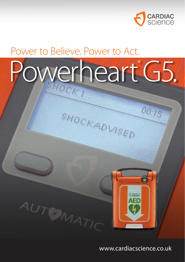

00:15

## Power to Believe. Power to Act.

AUTOMATIC

# Powerheart G5.

SHOCK ADVISED

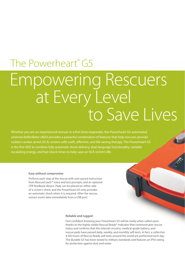## Empowering Rescuers at Every Level<br>to Save Lives The Powerheart<sup>®</sup> G5

Whether you are an experienced rescuer or a first-time responder, the Powerheart G5 automated external defibrillator (AED) provides a powerful combination of features that help rescuers provide sudden cardiac arrest (SCA) victims with swift, effective, and life-saving therapy. The Powerheart G5 is the first AED to combine fully automatic shock delivery, dual-language functionality, variable escalating energy, and fast shock times to help save an SCA victim's life.

#### **Easy without compromise**

Perform each step of the rescue with user-paced instruction from RescueCoach™ voice and text prompts, and an optional CPR feedback device. Pads can be placed on either side of a victim's chest, and the Powerheart G5 only provides an automatic shock when it is required. After the rescue, extract event data immediately from a USB port.

#### **Reliable and rugged**

Feel confident knowing your Powerheart G5 will be ready when called upon thanks to the highly visible Rescue Ready® indicator that communicates rescue status and confirms that the internal circuitry, medical-grade battery, and rescue pads have passed daily, weekly, and monthly self-tests. In fact, a collective 4,100 hours of Rescue Ready self-tests around the world are performed each day. The durable G5 has been tested to military standards and features an IP55 rating for protection against dust and water.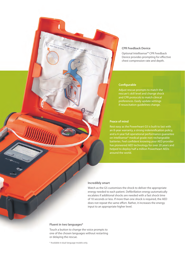#### **CPR Feedback Device**

Optional Intellisense™ CPR Feedback Device provides prompting for effective chest compression rate and depth.

#### **Configurable**

Adjust rescue prompts to match the rescuer's skill level and change shock and CPR protocols to match clinical preferences. Easily update settings if resuscitation guidelines change.

#### **Peace of mind**

Rest easy as the Powerheart G5 is built to last with an 8-year warranty, a strong indemnification policy, and a 4-year full operational performance guarantee on Intellisense® medical grade non-rechargeable batteries. Feel confident knowing your AED provider has pioneered AED technology for over 20 years and helped to deploy half a million Powerheart AEDs around the world.

#### **Incredibly smart**

**D** CARDIAC

Watch as the G5 customises the shock to deliver the appropriate energy needed to each patient. Defibrillation energy automatically escalates if additional shocks are needed with a fast shock time of 10 seconds or less. If more than one shock is required, the AED does not repeat the same effort. Rather, it increases the energy input to an appropriate higher level.

#### **Fluent in two languages\***

TEAR HERE TO OPEN TEAR ALONG DC TED LINE

Touch a button to change the voice prompts to one of the chosen languages without restarting or delaying the rescue.

\* Available in dual-language models only.